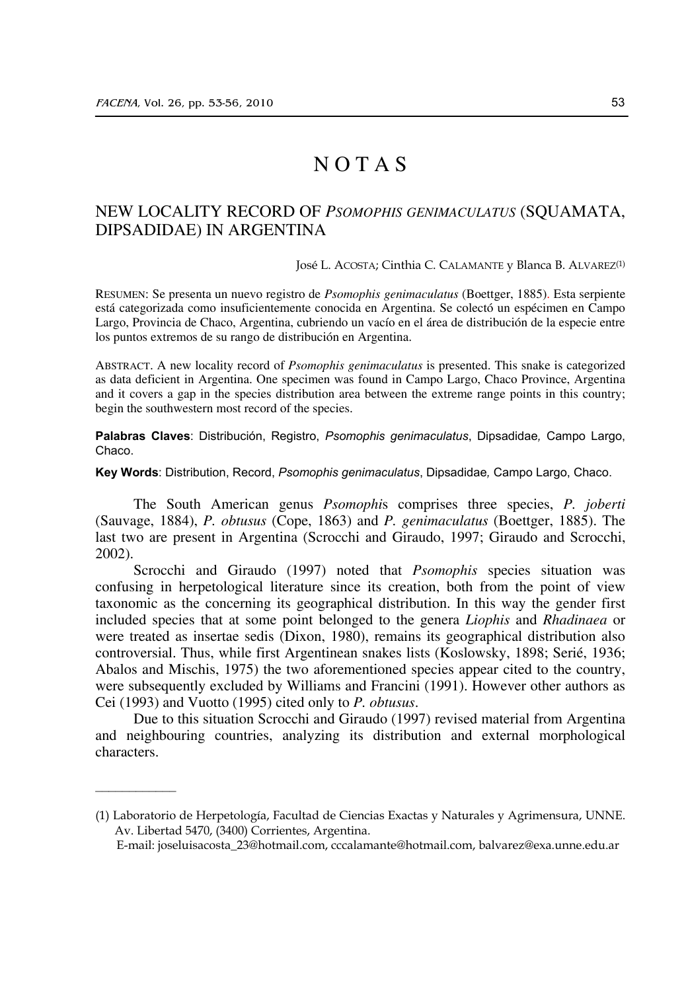$\frac{1}{2}$ 

## N O T A S

## NEW LOCALITY RECORD OF *PSOMOPHIS GENIMACULATUS* (SQUAMATA, DIPSADIDAE) IN ARGENTINA

José L. ACOSTA; Cinthia C. CALAMANTE y Blanca B. ALVAREZ(1)

RESUMEN: Se presenta un nuevo registro de *Psomophis genimaculatus* (Boettger, 1885). Esta serpiente está categorizada como insuficientemente conocida en Argentina. Se colectó un espécimen en Campo Largo, Provincia de Chaco, Argentina, cubriendo un vacío en el área de distribución de la especie entre los puntos extremos de su rango de distribución en Argentina.

ABSTRACT. A new locality record of *Psomophis genimaculatus* is presented. This snake is categorized as data deficient in Argentina. One specimen was found in Campo Largo, Chaco Province, Argentina and it covers a gap in the species distribution area between the extreme range points in this country; begin the southwestern most record of the species.

**Palabras Claves**: Distribución, Registro, *Psomophis genimaculatus*, Dipsadidae*,* Campo Largo, Chaco.

**Key Words**: Distribution, Record, *Psomophis genimaculatus*, Dipsadidae*,* Campo Largo, Chaco.

 The South American genus *Psomophi*s comprises three species, *P. joberti*  (Sauvage, 1884), *P. obtusus* (Cope, 1863) and *P. genimaculatus* (Boettger, 1885). The last two are present in Argentina (Scrocchi and Giraudo, 1997; Giraudo and Scrocchi, 2002).

 Scrocchi and Giraudo (1997) noted that *Psomophis* species situation was confusing in herpetological literature since its creation, both from the point of view taxonomic as the concerning its geographical distribution. In this way the gender first included species that at some point belonged to the genera *Liophis* and *Rhadinaea* or were treated as insertae sedis (Dixon, 1980), remains its geographical distribution also controversial. Thus, while first Argentinean snakes lists (Koslowsky, 1898; Serié, 1936; Abalos and Mischis, 1975) the two aforementioned species appear cited to the country, were subsequently excluded by Williams and Francini (1991). However other authors as Cei (1993) and Vuotto (1995) cited only to *P. obtusus*.

 Due to this situation Scrocchi and Giraudo (1997) revised material from Argentina and neighbouring countries, analyzing its distribution and external morphological characters.

<sup>(1)</sup> Laboratorio de Herpetología, Facultad de Ciencias Exactas y Naturales y Agrimensura, UNNE. Av. Libertad 5470, (3400) Corrientes, Argentina.

E-mail: joseluisacosta\_23@hotmail.com, cccalamante@hotmail.com, balvarez@exa.unne.edu.ar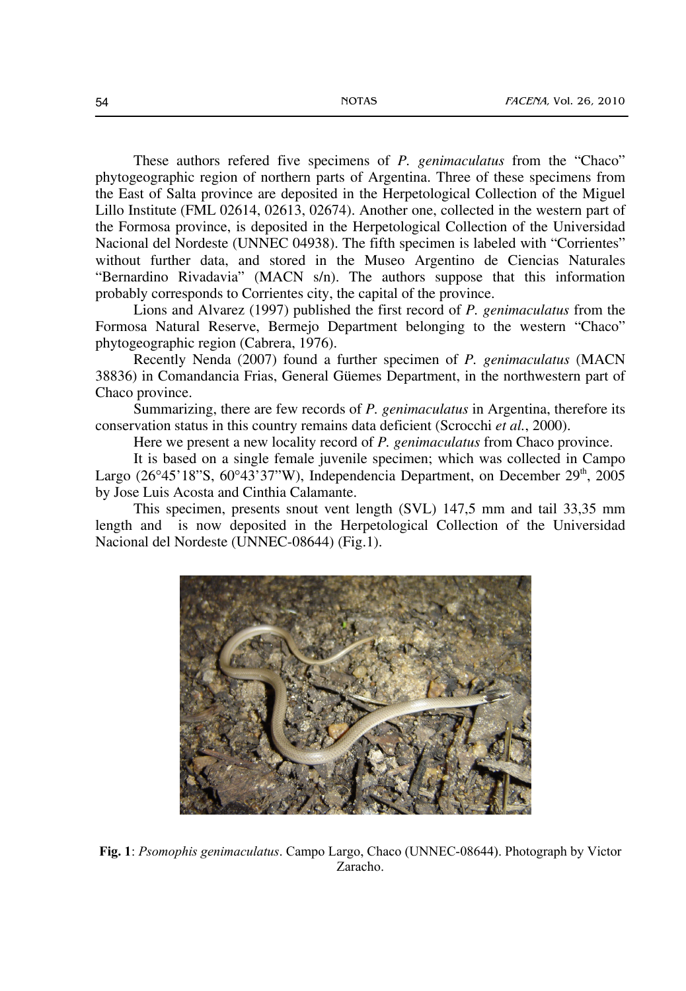These authors refered five specimens of *P. genimaculatus* from the "Chaco" phytogeographic region of northern parts of Argentina. Three of these specimens from the East of Salta province are deposited in the Herpetological Collection of the Miguel Lillo Institute (FML 02614, 02613, 02674). Another one, collected in the western part of the Formosa province, is deposited in the Herpetological Collection of the Universidad Nacional del Nordeste (UNNEC 04938). The fifth specimen is labeled with "Corrientes" without further data, and stored in the Museo Argentino de Ciencias Naturales "Bernardino Rivadavia" (MACN s/n). The authors suppose that this information probably corresponds to Corrientes city, the capital of the province.

 Lions and Alvarez (1997) published the first record of *P. genimaculatus* from the Formosa Natural Reserve, Bermejo Department belonging to the western "Chaco" phytogeographic region (Cabrera, 1976).

 Recently Nenda (2007) found a further specimen of *P. genimaculatus* (MACN 38836) in Comandancia Frias, General Güemes Department, in the northwestern part of Chaco province.

 Summarizing, there are few records of *P. genimaculatus* in Argentina, therefore its conservation status in this country remains data deficient (Scrocchi *et al.*, 2000).

Here we present a new locality record of *P. genimaculatus* from Chaco province.

It is based on a single female juvenile specimen; which was collected in Campo Largo (26°45'18"S, 60°43'37"W), Independencia Department, on December 29<sup>th</sup>, 2005 by Jose Luis Acosta and Cinthia Calamante.

 This specimen, presents snout vent length (SVL) 147,5 mm and tail 33,35 mm length and is now deposited in the Herpetological Collection of the Universidad Nacional del Nordeste (UNNEC-08644) (Fig.1).



**Fig. 1**: *Psomophis genimaculatus*. Campo Largo, Chaco (UNNEC-08644). Photograph by Victor Zaracho.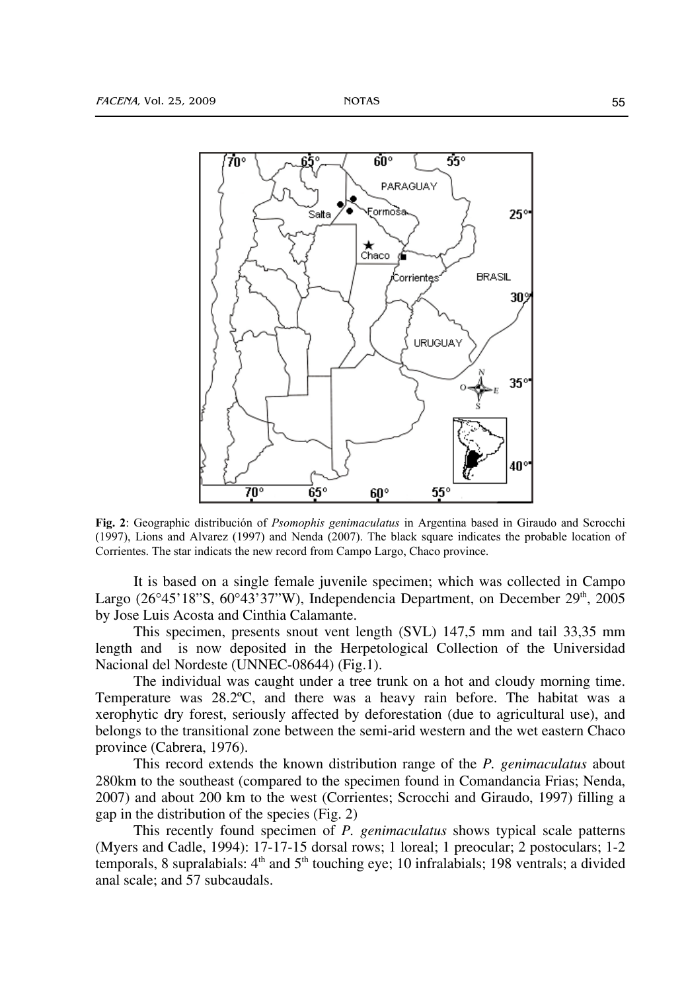

**Fig. 2**: Geographic distribución of *Psomophis genimaculatus* in Argentina based in Giraudo and Scrocchi (1997), Lions and Alvarez (1997) and Nenda (2007). The black square indicates the probable location of Corrientes. The star indicats the new record from Campo Largo, Chaco province.

It is based on a single female juvenile specimen; which was collected in Campo Largo (26°45'18"S, 60°43'37"W), Independencia Department, on December  $29<sup>th</sup>$ , 2005 by Jose Luis Acosta and Cinthia Calamante.

 This specimen, presents snout vent length (SVL) 147,5 mm and tail 33,35 mm length and is now deposited in the Herpetological Collection of the Universidad Nacional del Nordeste (UNNEC-08644) (Fig.1).

 The individual was caught under a tree trunk on a hot and cloudy morning time. Temperature was 28.2ºC, and there was a heavy rain before. The habitat was a xerophytic dry forest, seriously affected by deforestation (due to agricultural use), and belongs to the transitional zone between the semi-arid western and the wet eastern Chaco province (Cabrera, 1976).

 This record extends the known distribution range of the *P. genimaculatus* about 280km to the southeast (compared to the specimen found in Comandancia Frias; Nenda, 2007) and about 200 km to the west (Corrientes; Scrocchi and Giraudo, 1997) filling a gap in the distribution of the species (Fig. 2)

 This recently found specimen of *P. genimaculatus* shows typical scale patterns (Myers and Cadle, 1994): 17-17-15 dorsal rows; 1 loreal; 1 preocular; 2 postoculars; 1-2 temporals, 8 supralabials:  $4<sup>th</sup>$  and  $5<sup>th</sup>$  touching eye; 10 infralabials; 198 ventrals; a divided anal scale; and 57 subcaudals.